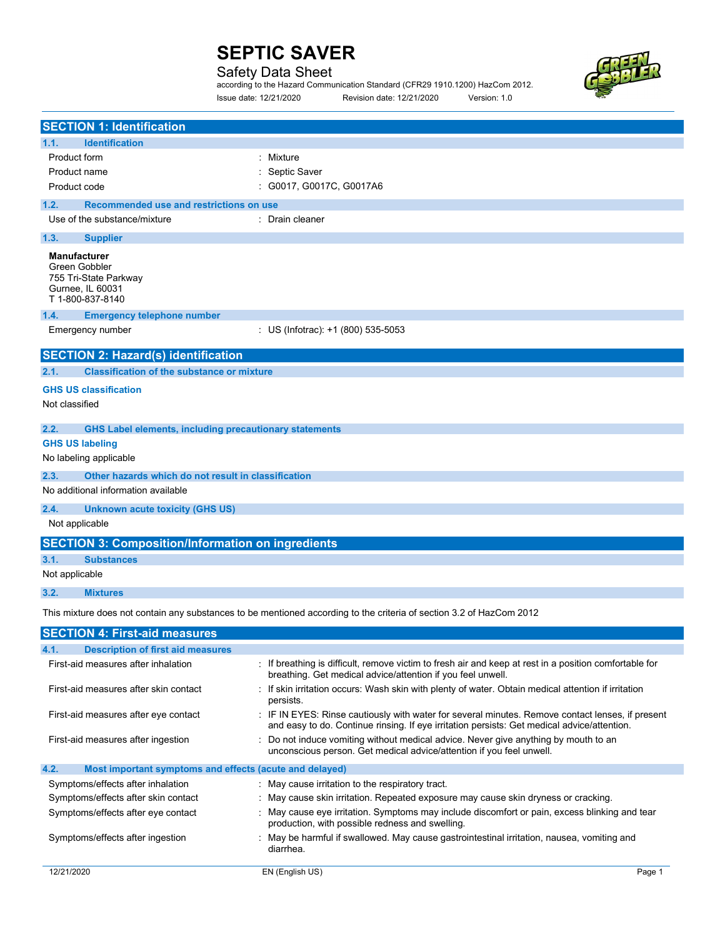# Safety Data Sheet

|                        | according to the Hazard Communication Standard (CFR29 1910.1200) HazCom 2012. |              |  |
|------------------------|-------------------------------------------------------------------------------|--------------|--|
| Issue date: 12/21/2020 | Revision date: 12/21/2020                                                     | Version: 1.0 |  |

| <b>SECTION 1: Identification</b>                                                                      |                                                                                                                                                                       |
|-------------------------------------------------------------------------------------------------------|-----------------------------------------------------------------------------------------------------------------------------------------------------------------------|
| <b>Identification</b><br>1.1.                                                                         |                                                                                                                                                                       |
| <b>Product form</b>                                                                                   | : Mixture                                                                                                                                                             |
| Product name                                                                                          | : Septic Saver                                                                                                                                                        |
| Product code                                                                                          | : G0017, G0017C, G0017A6                                                                                                                                              |
| 1.2.<br>Recommended use and restrictions on use                                                       |                                                                                                                                                                       |
| Use of the substance/mixture                                                                          | : Drain cleaner                                                                                                                                                       |
| 1.3.<br><b>Supplier</b>                                                                               |                                                                                                                                                                       |
| <b>Manufacturer</b><br>Green Gobbler<br>755 Tri-State Parkway<br>Gurnee, IL 60031<br>T 1-800-837-8140 |                                                                                                                                                                       |
| 1.4.<br><b>Emergency telephone number</b>                                                             |                                                                                                                                                                       |
| Emergency number                                                                                      | : US (Infotrac): +1 (800) 535-5053                                                                                                                                    |
| <b>SECTION 2: Hazard(s) identification</b>                                                            |                                                                                                                                                                       |
| <b>Classification of the substance or mixture</b><br>2.1.                                             |                                                                                                                                                                       |
| <b>GHS US classification</b>                                                                          |                                                                                                                                                                       |
| Not classified                                                                                        |                                                                                                                                                                       |
|                                                                                                       |                                                                                                                                                                       |
| 2.2.<br><b>GHS Label elements, including precautionary statements</b>                                 |                                                                                                                                                                       |
| <b>GHS US labeling</b>                                                                                |                                                                                                                                                                       |
| No labeling applicable                                                                                |                                                                                                                                                                       |
| 2.3.<br>Other hazards which do not result in classification                                           |                                                                                                                                                                       |
| No additional information available                                                                   |                                                                                                                                                                       |
| 2.4.<br>Unknown acute toxicity (GHS US)                                                               |                                                                                                                                                                       |
| Not applicable                                                                                        |                                                                                                                                                                       |
| <b>SECTION 3: Composition/Information on ingredients</b>                                              |                                                                                                                                                                       |
| 3.1.<br><b>Substances</b>                                                                             |                                                                                                                                                                       |
| Not applicable                                                                                        |                                                                                                                                                                       |
| 3.2.<br><b>Mixtures</b>                                                                               |                                                                                                                                                                       |
|                                                                                                       | This mixture does not contain any substances to be mentioned according to the criteria of section 3.2 of HazCom 2012                                                  |
| <b>SECTION 4: First-aid measures</b>                                                                  |                                                                                                                                                                       |
| 4.1.<br><b>Description of first aid measures</b>                                                      |                                                                                                                                                                       |
| First-aid measures after inhalation                                                                   | : If breathing is difficult, remove victim to fresh air and keep at rest in a position comfortable for<br>breathing. Get medical advice/attention if you feel unwell. |
| First-aid measures after skin contact                                                                 | If skin irritation occurs: Wash skin with plenty of water. Obtain medical attention if irritation                                                                     |

First-aid measures after ingestion : Do not induce vomiting without medical advice. Never give anything by mouth to an unconscious person. Get medical advice/attention if you feel unwell.

and easy to do. Continue rinsing. If eye irritation persists: Get medical advice/attention.

First-aid measures after eye contact : IF IN EYES: Rinse cautiously with water for several minutes. Remove contact lenses, if present

## 4.2. Most important symptoms and effects (acute and delayed)

| Symptoms/effects after inhalation   | : May cause irritation to the respiratory tract.                                                                                                 |
|-------------------------------------|--------------------------------------------------------------------------------------------------------------------------------------------------|
| Symptoms/effects after skin contact | : May cause skin irritation. Repeated exposure may cause skin dryness or cracking.                                                               |
| Symptoms/effects after eye contact  | : May cause eye irritation. Symptoms may include discomfort or pain, excess blinking and tear<br>production, with possible redness and swelling. |
| Symptoms/effects after ingestion    | May be harmful if swallowed. May cause gastrointestinal irritation, nausea, vomiting and<br>diarrhea.                                            |

persists.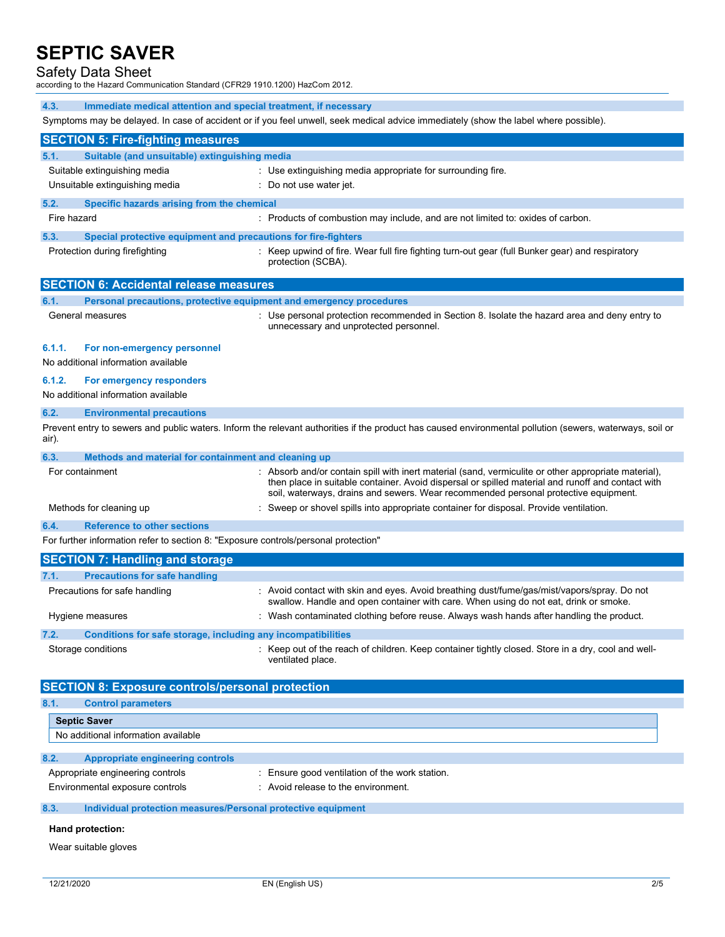## Safety Data Sheet

according to the Hazard Communication Standard (CFR29 1910.1200) HazCom 2012.

4.3. Immediate medical attention and special treatment, if necessary

Symptoms may be delayed. In case of accident or if you feel unwell, seek medical advice immediately (show the label where possible).

|             | <b>SECTION 5: Fire-fighting measures</b>                                            |                                                                                                                                                                                                                                                                                                  |
|-------------|-------------------------------------------------------------------------------------|--------------------------------------------------------------------------------------------------------------------------------------------------------------------------------------------------------------------------------------------------------------------------------------------------|
| 5.1.        | Suitable (and unsuitable) extinguishing media                                       |                                                                                                                                                                                                                                                                                                  |
|             | Suitable extinguishing media                                                        | : Use extinguishing media appropriate for surrounding fire.                                                                                                                                                                                                                                      |
|             | Unsuitable extinguishing media                                                      | : Do not use water jet.                                                                                                                                                                                                                                                                          |
| 5.2.        | Specific hazards arising from the chemical                                          |                                                                                                                                                                                                                                                                                                  |
| Fire hazard |                                                                                     | : Products of combustion may include, and are not limited to: oxides of carbon.                                                                                                                                                                                                                  |
|             |                                                                                     |                                                                                                                                                                                                                                                                                                  |
| 5.3.        | Special protective equipment and precautions for fire-fighters                      |                                                                                                                                                                                                                                                                                                  |
|             | Protection during firefighting                                                      | : Keep upwind of fire. Wear full fire fighting turn-out gear (full Bunker gear) and respiratory<br>protection (SCBA).                                                                                                                                                                            |
|             | <b>SECTION 6: Accidental release measures</b>                                       |                                                                                                                                                                                                                                                                                                  |
| 6.1.        | Personal precautions, protective equipment and emergency procedures                 |                                                                                                                                                                                                                                                                                                  |
|             | General measures                                                                    | : Use personal protection recommended in Section 8. Isolate the hazard area and deny entry to<br>unnecessary and unprotected personnel.                                                                                                                                                          |
| 6.1.1.      | For non-emergency personnel<br>No additional information available                  |                                                                                                                                                                                                                                                                                                  |
| 6.1.2.      | For emergency responders                                                            |                                                                                                                                                                                                                                                                                                  |
|             | No additional information available                                                 |                                                                                                                                                                                                                                                                                                  |
| 6.2.        | <b>Environmental precautions</b>                                                    |                                                                                                                                                                                                                                                                                                  |
| air).       |                                                                                     | Prevent entry to sewers and public waters. Inform the relevant authorities if the product has caused environmental pollution (sewers, waterways, soil or                                                                                                                                         |
| 6.3.        | Methods and material for containment and cleaning up                                |                                                                                                                                                                                                                                                                                                  |
|             | For containment                                                                     | : Absorb and/or contain spill with inert material (sand, vermiculite or other appropriate material),<br>then place in suitable container. Avoid dispersal or spilled material and runoff and contact with<br>soil, waterways, drains and sewers. Wear recommended personal protective equipment. |
|             | Methods for cleaning up                                                             | : Sweep or shovel spills into appropriate container for disposal. Provide ventilation.                                                                                                                                                                                                           |
| 6.4.        | <b>Reference to other sections</b>                                                  |                                                                                                                                                                                                                                                                                                  |
|             | For further information refer to section 8: "Exposure controls/personal protection" |                                                                                                                                                                                                                                                                                                  |
|             | <b>SECTION 7: Handling and storage</b>                                              |                                                                                                                                                                                                                                                                                                  |
| 7.1.        | <b>Precautions for safe handling</b>                                                |                                                                                                                                                                                                                                                                                                  |
|             | Precautions for safe handling                                                       | : Avoid contact with skin and eyes. Avoid breathing dust/fume/gas/mist/vapors/spray. Do not<br>swallow. Handle and open container with care. When using do not eat, drink or smoke.                                                                                                              |
|             | Hygiene measures                                                                    | : Wash contaminated clothing before reuse. Always wash hands after handling the product.                                                                                                                                                                                                         |
| 7.2.        | <b>Conditions for safe storage, including any incompatibilities</b>                 |                                                                                                                                                                                                                                                                                                  |
|             | Storage conditions                                                                  | : Keep out of the reach of children. Keep container tightly closed. Store in a dry, cool and well-<br>ventilated place.                                                                                                                                                                          |
|             | <b>SECTION 8: Exposure controls/personal protection</b>                             |                                                                                                                                                                                                                                                                                                  |
| 8.1.        | <b>Control parameters</b>                                                           |                                                                                                                                                                                                                                                                                                  |
|             | <b>Septic Saver</b>                                                                 |                                                                                                                                                                                                                                                                                                  |
|             | No additional information available                                                 |                                                                                                                                                                                                                                                                                                  |
| 8.2.        | <b>Appropriate engineering controls</b>                                             |                                                                                                                                                                                                                                                                                                  |
|             | Appropriate engineering controls                                                    | : Ensure good ventilation of the work station.                                                                                                                                                                                                                                                   |
|             | Environmental exposure controls                                                     | : Avoid release to the environment.                                                                                                                                                                                                                                                              |
| 8.3.        | Individual protection measures/Personal protective equipment                        |                                                                                                                                                                                                                                                                                                  |

## Hand protection:

Wear suitable gloves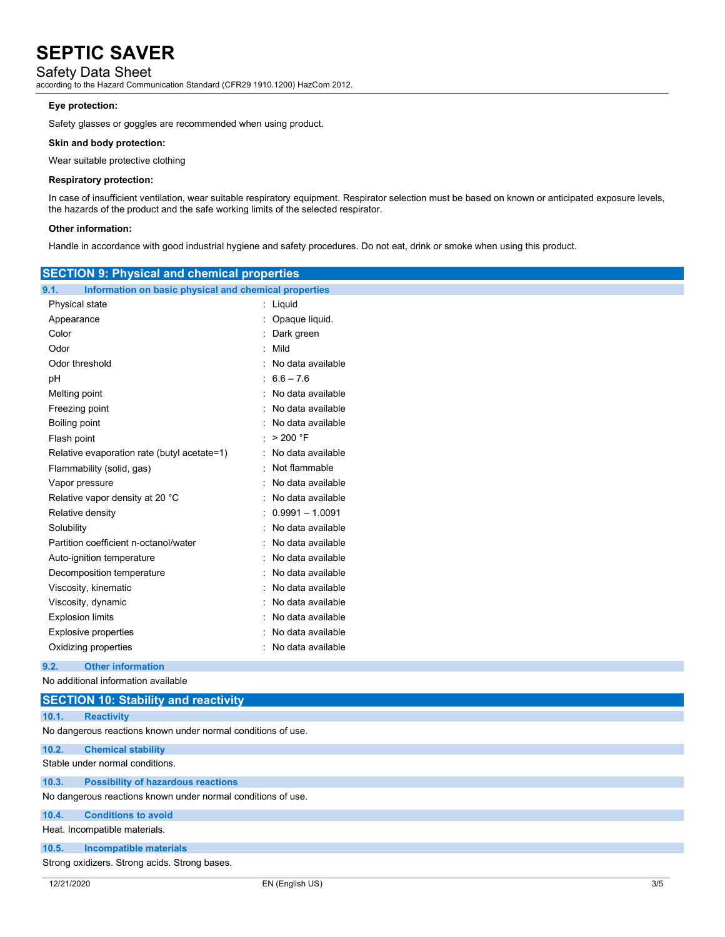# Safety Data Sheet

according to the Hazard Communication Standard (CFR29 1910.1200) HazCom 2012.

## Eye protection:

Safety glasses or goggles are recommended when using product.

### Skin and body protection:

Wear suitable protective clothing

#### Respiratory protection:

In case of insufficient ventilation, wear suitable respiratory equipment. Respirator selection must be based on known or anticipated exposure levels, the hazards of the product and the safe working limits of the selected respirator.

## Other information:

Handle in accordance with good industrial hygiene and safety procedures. Do not eat, drink or smoke when using this product.

| <b>SECTION 9: Physical and chemical properties</b>                    |                     |  |
|-----------------------------------------------------------------------|---------------------|--|
| 9.1.<br>Information on basic physical and chemical properties         |                     |  |
| Physical state                                                        | : Liquid            |  |
| Appearance                                                            | : Opaque liquid.    |  |
| Color                                                                 | Dark green          |  |
| Odor                                                                  | Mild                |  |
| Odor threshold                                                        | No data available   |  |
| pH                                                                    | $: 6.6 - 7.6$       |  |
| Melting point                                                         | No data available   |  |
| Freezing point                                                        | No data available   |  |
| Boiling point                                                         | No data available   |  |
| Flash point                                                           | : $>200$ °F         |  |
| Relative evaporation rate (butyl acetate=1)                           | : No data available |  |
| Flammability (solid, gas)                                             | : Not flammable     |  |
| Vapor pressure                                                        | : No data available |  |
| Relative vapor density at 20 °C                                       | No data available   |  |
| Relative density                                                      | $0.9991 - 1.0091$   |  |
| Solubility                                                            | No data available   |  |
| Partition coefficient n-octanol/water                                 | No data available   |  |
| Auto-ignition temperature                                             | No data available   |  |
| Decomposition temperature                                             | No data available   |  |
| Viscosity, kinematic                                                  | No data available   |  |
| Viscosity, dynamic                                                    | No data available   |  |
| <b>Explosion limits</b>                                               | No data available   |  |
| <b>Explosive properties</b>                                           | No data available   |  |
| Oxidizing properties                                                  | : No data available |  |
| 9.2.<br><b>Other information</b>                                      |                     |  |
| No additional information available                                   |                     |  |
| <b>SECTION 10: Stability and reactivity</b>                           |                     |  |
| 10.1.<br><b>Reactivity</b>                                            |                     |  |
| No dangerous reactions known under normal conditions of use.          |                     |  |
|                                                                       |                     |  |
| 10.2.<br><b>Chemical stability</b><br>Stable under normal conditions. |                     |  |
|                                                                       |                     |  |
| 10.3.<br><b>Possibility of hazardous reactions</b>                    |                     |  |
| No dangerous reactions known under normal conditions of use.          |                     |  |
| <b>Conditions to avoid</b><br>10.4.                                   |                     |  |
| Heat. Incompatible materials.                                         |                     |  |
| 10.5.<br>Incompatible materials                                       |                     |  |

# Strong oxidizers. Strong acids. Strong bases.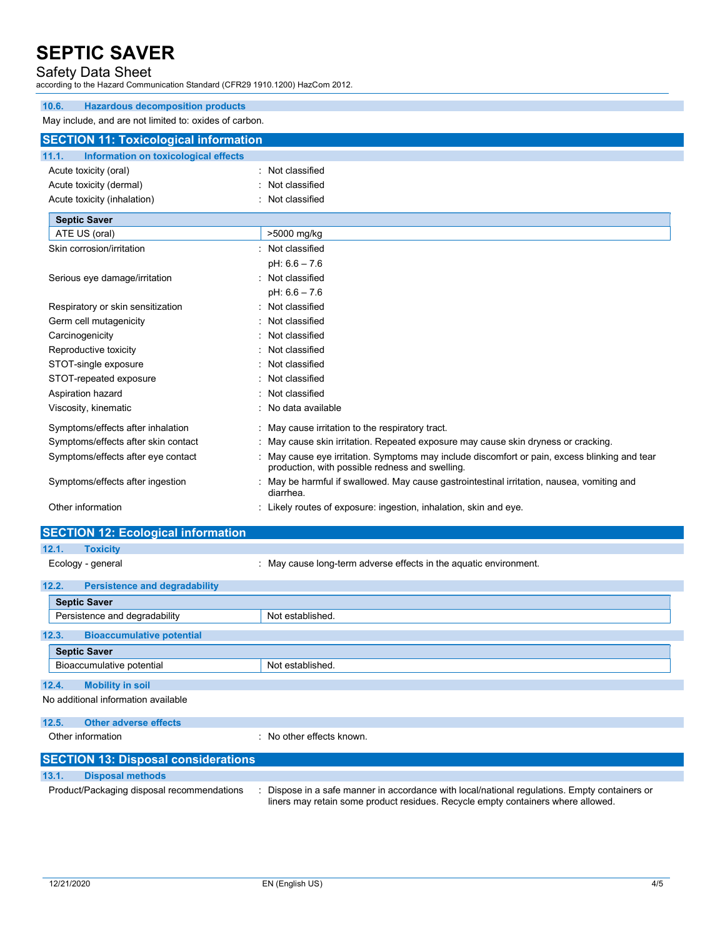## Safety Data Sheet

according to the Hazard Communication Standard (CFR29 1910.1200) HazCom 2012.

| 10.6.<br><b>Hazardous decomposition products</b>       |                                                                                                                                                |
|--------------------------------------------------------|------------------------------------------------------------------------------------------------------------------------------------------------|
| May include, and are not limited to: oxides of carbon. |                                                                                                                                                |
| <b>SECTION 11: Toxicological information</b>           |                                                                                                                                                |
| Information on toxicological effects<br>11.1.          |                                                                                                                                                |
| Acute toxicity (oral)                                  | Not classified                                                                                                                                 |
| Acute toxicity (dermal)                                | Not classified                                                                                                                                 |
| Acute toxicity (inhalation)                            | Not classified                                                                                                                                 |
| <b>Septic Saver</b>                                    |                                                                                                                                                |
| ATE US (oral)                                          | >5000 mg/kg                                                                                                                                    |
|                                                        |                                                                                                                                                |
| Skin corrosion/irritation                              | Not classified                                                                                                                                 |
|                                                        | $pH: 6.6 - 7.6$                                                                                                                                |
| Serious eye damage/irritation                          | Not classified                                                                                                                                 |
|                                                        | $pH: 6.6 - 7.6$                                                                                                                                |
| Respiratory or skin sensitization                      | Not classified                                                                                                                                 |
| Germ cell mutagenicity                                 | Not classified                                                                                                                                 |
| Carcinogenicity                                        | Not classified                                                                                                                                 |
| Reproductive toxicity                                  | Not classified                                                                                                                                 |
| STOT-single exposure                                   | Not classified                                                                                                                                 |
| STOT-repeated exposure                                 | Not classified                                                                                                                                 |
| Aspiration hazard                                      | Not classified                                                                                                                                 |
| Viscosity, kinematic                                   | No data available                                                                                                                              |
| Symptoms/effects after inhalation                      | May cause irritation to the respiratory tract.                                                                                                 |
| Symptoms/effects after skin contact                    | May cause skin irritation. Repeated exposure may cause skin dryness or cracking.                                                               |
| Symptoms/effects after eye contact                     | May cause eye irritation. Symptoms may include discomfort or pain, excess blinking and tear<br>production, with possible redness and swelling. |
| Symptoms/effects after ingestion                       | May be harmful if swallowed. May cause gastrointestinal irritation, nausea, vomiting and<br>diarrhea.                                          |
| Other information                                      | Likely routes of exposure: ingestion, inhalation, skin and eye.                                                                                |
|                                                        |                                                                                                                                                |

| <b>SECTION 12: Ecological information</b>     |                                                                                                                                                                                 |
|-----------------------------------------------|---------------------------------------------------------------------------------------------------------------------------------------------------------------------------------|
| 12.1.<br><b>Toxicity</b>                      |                                                                                                                                                                                 |
| Ecology - general                             | : May cause long-term adverse effects in the aquatic environment.                                                                                                               |
| 12.2.<br><b>Persistence and degradability</b> |                                                                                                                                                                                 |
| <b>Septic Saver</b>                           |                                                                                                                                                                                 |
| Persistence and degradability                 | Not established.                                                                                                                                                                |
| 12.3.<br><b>Bioaccumulative potential</b>     |                                                                                                                                                                                 |
| <b>Septic Saver</b>                           |                                                                                                                                                                                 |
| Bioaccumulative potential                     | Not established.                                                                                                                                                                |
| 12.4.<br><b>Mobility in soil</b>              |                                                                                                                                                                                 |
| No additional information available           |                                                                                                                                                                                 |
| 12.5.<br><b>Other adverse effects</b>         |                                                                                                                                                                                 |
| Other information                             | : No other effects known.                                                                                                                                                       |
| <b>SECTION 13: Disposal considerations</b>    |                                                                                                                                                                                 |
| 13.1.<br><b>Disposal methods</b>              |                                                                                                                                                                                 |
| Product/Packaging disposal recommendations    | Dispose in a safe manner in accordance with local/national regulations. Empty containers or<br>liners may retain some product residues. Recycle empty containers where allowed. |